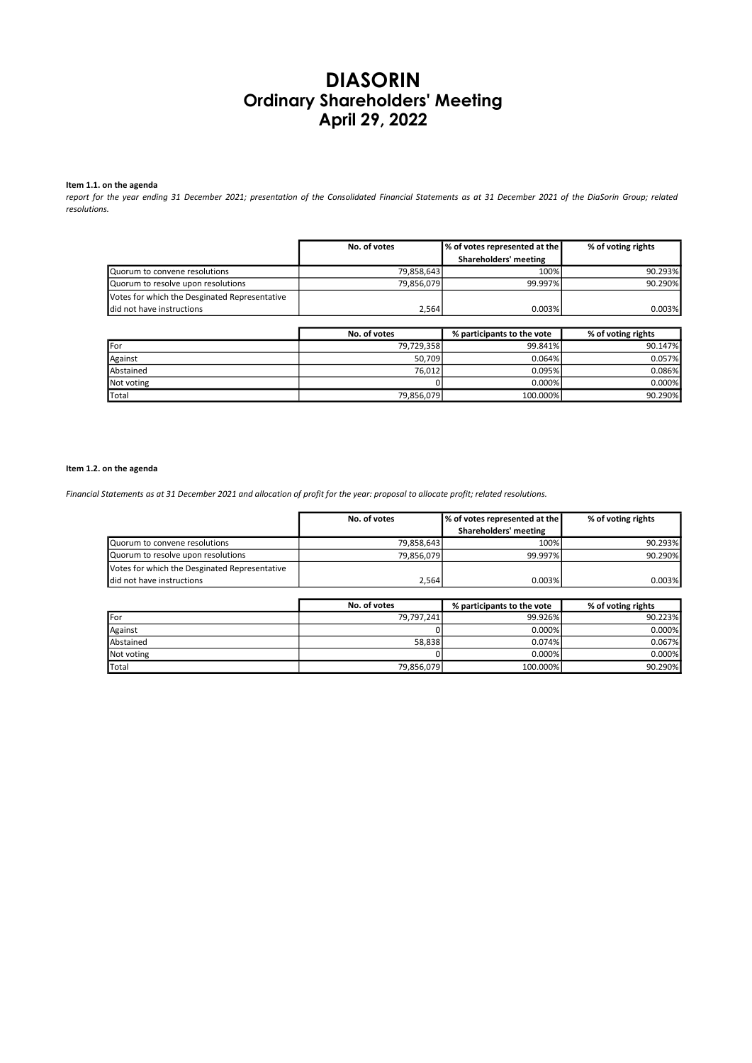# DIASORIN Ordinary Shareholders' Meeting April 29, 2022

# Item 1.1. on the agenda

report for the year ending 31 December 2021; presentation of the Consolidated Financial Statements as at 31 December 2021 of the DiaSorin Group; related resolutions.

|                                               | No. of votes | Ⅰ% of votes represented at the I | % of voting rights |
|-----------------------------------------------|--------------|----------------------------------|--------------------|
|                                               |              | Shareholders' meeting            |                    |
| Quorum to convene resolutions                 | 79,858,643   | 100%                             | 90.293%            |
| Quorum to resolve upon resolutions            | 79.856.079   | 99.997%                          | 90.290%            |
| Votes for which the Desginated Representative |              |                                  |                    |
| ldid not have instructions                    | 2.564        | 0.003%                           | 0.003%             |

|             | No. of votes | % participants to the vote | % of voting rights |
|-------------|--------------|----------------------------|--------------------|
| <b>IFor</b> | 79,729,358   | 99.841%                    | 90.147%            |
| Against     | 50.709       | 0.064%                     | 0.057%             |
| Abstained   | 76,012       | 0.095%                     | 0.086%             |
| Not voting  |              | 0.000%                     | 0.000%             |
| Total       | 79,856,079   | 100.000%                   | 90.290%            |

#### Item 1.2. on the agenda

Financial Statements as at 31 December 2021 and allocation of profit for the year: proposal to allocate profit; related resolutions.

|                                               | No. of votes | % of votes represented at the | % of voting rights |
|-----------------------------------------------|--------------|-------------------------------|--------------------|
|                                               |              | Shareholders' meeting         |                    |
| Quorum to convene resolutions                 | 79.858.643   | 100%                          | 90.293%            |
| Quorum to resolve upon resolutions            | 79,856,079   | 99.997%                       | 90.290%            |
| Votes for which the Desginated Representative |              |                               |                    |
| did not have instructions                     | 2.564        | 0.003%                        | 0.003%             |

|              | No. of votes | % participants to the vote | % of voting rights |
|--------------|--------------|----------------------------|--------------------|
| <b>IFor</b>  | 79,797,241   | 99.926%                    | 90.223%            |
| Against      |              | 0.000%                     | 0.000%             |
| Abstained    | 58,838       | 0.074%                     | 0.067%             |
| Not voting   |              | 0.000%                     | 0.000%             |
| <b>Total</b> | 79,856,079   | 100.000%                   | 90.290%            |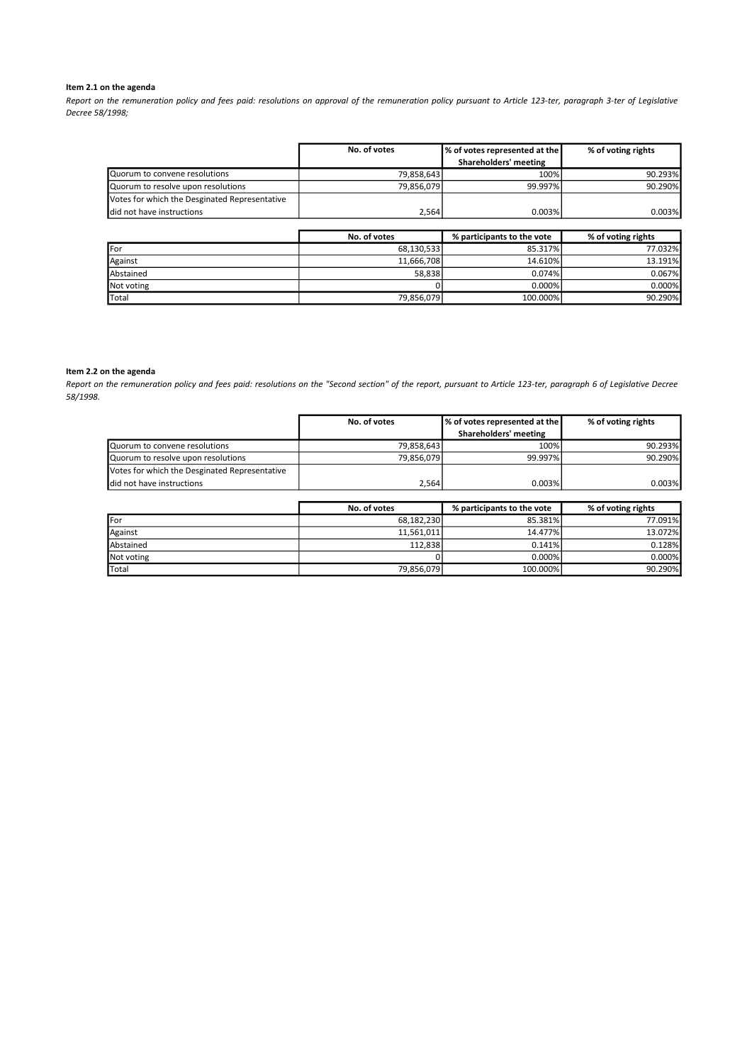## Item 2.1 on the agenda

Report on the remuneration policy and fees paid: resolutions on approval of the remuneration policy pursuant to Article 123-ter, paragraph 3-ter of Legislative Decree 58/1998;

|                                               | No. of votes | Ⅰ% of votes represented at the I | % of voting rights |
|-----------------------------------------------|--------------|----------------------------------|--------------------|
|                                               |              | Shareholders' meeting            |                    |
| Quorum to convene resolutions                 | 79,858,643   | 100%                             | 90.293%            |
| Quorum to resolve upon resolutions            | 79.856.079   | 99.997%                          | 90.290%            |
| Votes for which the Desginated Representative |              |                                  |                    |
| did not have instructions                     | 2.564        | 0.003%                           | $0.003\%$          |

|               | No. of votes | % participants to the vote | % of voting rights |
|---------------|--------------|----------------------------|--------------------|
| <b>IFor</b>   | 68,130,533   | 85.317%                    | 77.032%            |
| Against       | 11,666,708   | 14.610%                    | 13.191%            |
| Abstained     | 58,838       | 0.074%                     | 0.067%             |
| Not voting    |              | 0.000%                     | 0.000%             |
| <b>T</b> otal | 79,856,079   | 100.000%                   | 90.290%            |

#### Item 2.2 on the agenda

Report on the remuneration policy and fees paid: resolutions on the "Second section" of the report, pursuant to Article 123-ter, paragraph 6 of Legislative Decree 58/1998.

|                                               | No. of votes | % of votes represented at the | % of voting rights |
|-----------------------------------------------|--------------|-------------------------------|--------------------|
|                                               |              | Shareholders' meeting         |                    |
| Quorum to convene resolutions                 | 79,858,643   | 100%                          | 90.293%            |
| Quorum to resolve upon resolutions            | 79,856,079   | 99.997%                       | 90.290%            |
| Votes for which the Desginated Representative |              |                               |                    |
| did not have instructions                     | 2,564        | 0.003%                        | 0.003%             |
|                                               |              |                               |                    |
|                                               | No. of votes | % participants to the vote    | % of voting rights |
| <b>I</b> For                                  | 68,182,230   | 85.381%                       | 77.091%            |
| Against                                       | 11,561,011   | 14.477%                       | 13.072%            |
| Abstained                                     | 112,838      | 0.141%                        | 0.128%             |

Not voting 0 0.000% 0.000% Total 79,856,079 100.000% 90.290%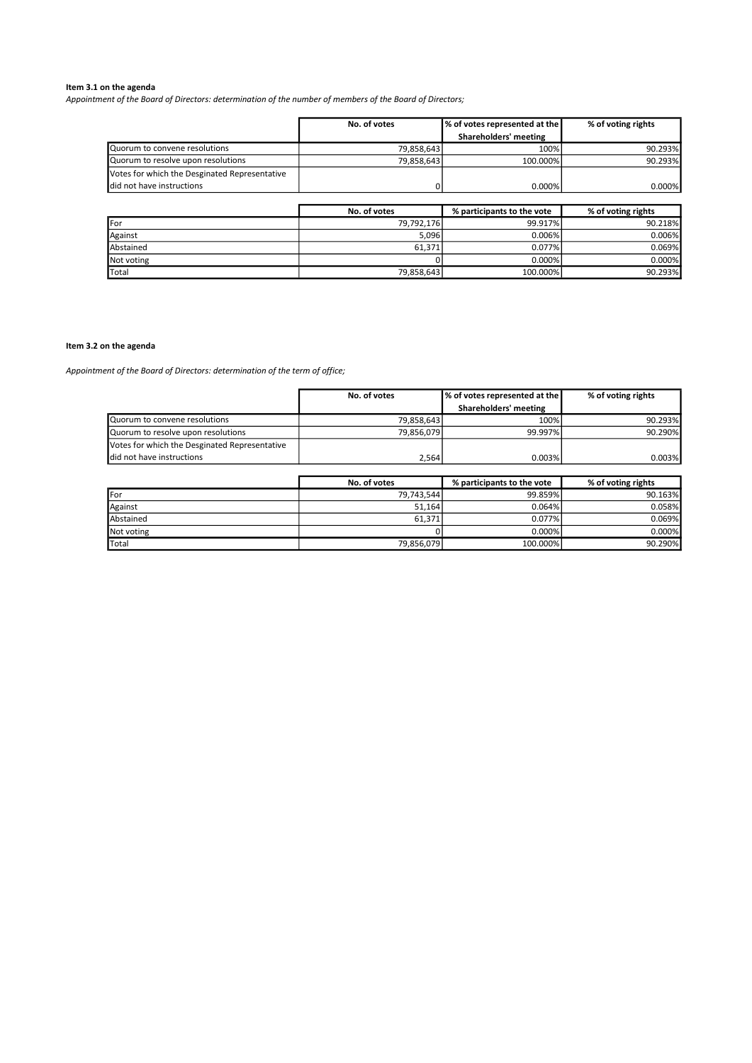## Item 3.1 on the agenda

Appointment of the Board of Directors: determination of the number of members of the Board of Directors;

|                                               | No. of votes | % of votes represented at the | % of voting rights |
|-----------------------------------------------|--------------|-------------------------------|--------------------|
|                                               |              | Shareholders' meeting         |                    |
| Quorum to convene resolutions                 | 79.858.643   | 100%                          | 90.293%            |
| Quorum to resolve upon resolutions            | 79.858.643   | 100.000%                      | 90.293%            |
| Votes for which the Desginated Representative |              |                               |                    |
| <b>I</b> did not have instructions            |              | $0.000\%$                     | 0.000%             |
|                                               |              |                               |                    |
|                                               | No. of votes | % participants to the vote    | % of voting rights |

|            |            |          | .       |
|------------|------------|----------|---------|
| IFor       | 79,792,176 | 99.917%  | 90.218% |
| Against    | 5,096      | 0.006%   | 0.006%  |
| Abstained  | 61.371     | 0.077%   | 0.069%  |
| Not voting |            | 0.000%   | 0.000%  |
| Total      | 79,858,643 | 100.000% | 90.293% |

## Item 3.2 on the agenda

Appointment of the Board of Directors: determination of the term of office;

|                                               | No. of votes | % of votes represented at the | % of voting rights |
|-----------------------------------------------|--------------|-------------------------------|--------------------|
|                                               |              | Shareholders' meeting         |                    |
| Quorum to convene resolutions                 | 79,858,643   | 100%                          | 90.293%            |
| Quorum to resolve upon resolutions            | 79,856,079   | 99.997%                       | 90.290%            |
| Votes for which the Desginated Representative |              |                               |                    |
| did not have instructions                     | 2,564        | 0.003%                        | 0.003%             |
|                                               |              |                               |                    |
|                                               | No. of votes | % participants to the vote    | % of voting rights |
| For                                           | 79,743,544   | 99.859%                       | 90.163%            |
| Against                                       | 51,164       | 0.064%                        | 0.058%             |
| Abstained                                     | 61.371       | 0.077%                        | 0.069%             |

Not voting 0 0.000% 0.000% Total 79,856,079 100.000% 90.290%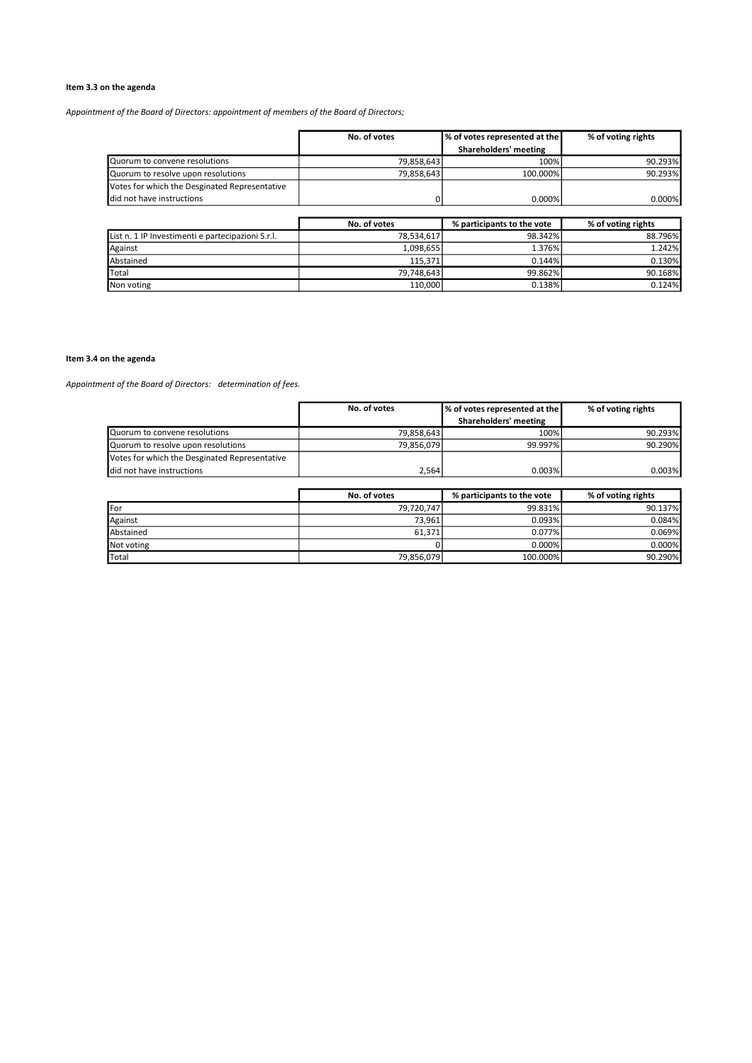# Item 3.3 on the agenda

Appointment of the Board of Directors: appointment of members of the Board of Directors;

|                                               | No. of votes | % of votes represented at the | % of voting rights |
|-----------------------------------------------|--------------|-------------------------------|--------------------|
|                                               |              | Shareholders' meeting         |                    |
| Quorum to convene resolutions                 | 79.858.643   | 100%                          | 90.293%            |
| Quorum to resolve upon resolutions            | 79,858,643   | 100.000%                      | 90.293%            |
| Votes for which the Desginated Representative |              |                               |                    |
| <b>I</b> did not have instructions            |              | 0.000%                        | 0.000%             |
|                                               |              |                               |                    |

|                                                   | No. of votes | % participants to the vote | % of voting rights |
|---------------------------------------------------|--------------|----------------------------|--------------------|
| List n. 1 IP Investimenti e partecipazioni S.r.l. | 78.534.617   | 98.342%                    | 88.796%            |
| Against                                           | 1.098.655    | 1.376%                     | 1.242%             |
| Abstained                                         | 115.371      | 0.144%                     | 0.130%             |
| <b>T</b> otal                                     | 79.748.643   | 99.862%                    | 90.168%            |
| Non voting                                        | 110,000      | 0.138%                     | 0.124%             |

# Item 3.4 on the agenda

Appointment of the Board of Directors: determination of fees.

|                                               | No. of votes | % of votes represented at the | % of voting rights |
|-----------------------------------------------|--------------|-------------------------------|--------------------|
|                                               |              | Shareholders' meeting         |                    |
| Quorum to convene resolutions                 | 79,858,643   | 100%                          | 90.293%            |
| Quorum to resolve upon resolutions            | 79,856,079   | 99.997%                       | 90.290%            |
| Votes for which the Desginated Representative |              |                               |                    |
| did not have instructions                     | 2.564        | 0.003%                        | 0.003%             |

|               | No. of votes | % participants to the vote | % of voting rights |
|---------------|--------------|----------------------------|--------------------|
| For           | 79,720,747   | 99.831%                    | 90.137%            |
| Against       | 73.961       | 0.093%                     | 0.084%             |
| Abstained     | 61,371       | 0.077%                     | 0.069%             |
| Not voting    |              | 0.000%                     | 0.000%             |
| <b>T</b> otal | 79,856,079   | 100.000%                   | 90.290%            |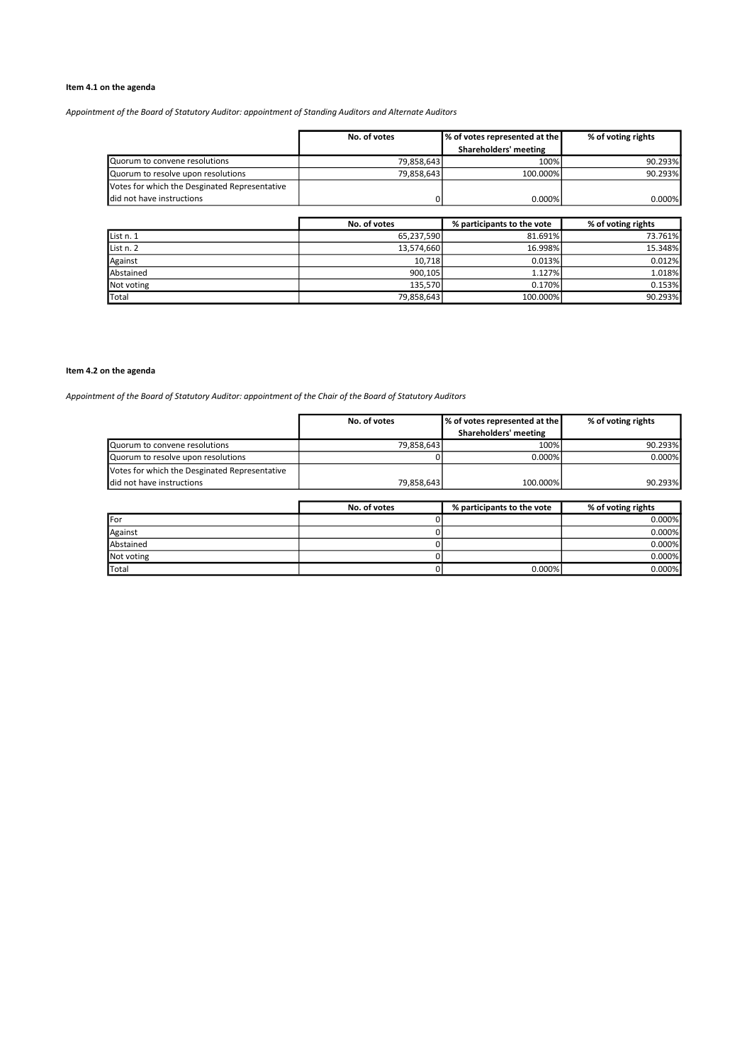# Item 4.1 on the agenda

Appointment of the Board of Statutory Auditor: appointment of Standing Auditors and Alternate Auditors

|                                               | No. of votes | Ⅰ% of votes represented at the I | % of voting rights |
|-----------------------------------------------|--------------|----------------------------------|--------------------|
|                                               |              | Shareholders' meeting            |                    |
| Quorum to convene resolutions                 | 79.858.643   | 100%                             | 90.293%            |
| Quorum to resolve upon resolutions            | 79,858,643   | 100.000%                         | 90.293%            |
| Votes for which the Desginated Representative |              |                                  |                    |
| <b>I</b> did not have instructions            |              | 0.000%                           | 0.000%             |
|                                               |              |                                  |                    |

|            | No. of votes | % participants to the vote | % of voting rights |
|------------|--------------|----------------------------|--------------------|
| List n. 1  | 65,237,590   | 81.691%                    | 73.761%            |
| List n. 2  | 13,574,660   | 16.998%                    | 15.348%            |
| Against    | 10.718       | 0.013%                     | 0.012%             |
| Abstained  | 900.105      | 1.127%                     | 1.018%             |
| Not voting | 135.570      | 0.170%                     | 0.153%             |
| Total      | 79,858,643   | 100.000%                   | 90.293%            |

## Item 4.2 on the agenda

Appointment of the Board of Statutory Auditor: appointment of the Chair of the Board of Statutory Auditors

|                                               | No. of votes | Ⅰ% of votes represented at the I | % of voting rights |
|-----------------------------------------------|--------------|----------------------------------|--------------------|
|                                               |              | Shareholders' meeting            |                    |
| Quorum to convene resolutions                 | 79,858,643   | 100%                             | 90.293%            |
| Quorum to resolve upon resolutions            |              | 0.000%                           | 0.000%             |
| Votes for which the Desginated Representative |              |                                  |                    |
| I did not have instructions                   | 79.858.643   | 100.000%                         | 90.293%            |
|                                               |              |                                  |                    |

|            | No. of votes | % participants to the vote | % of voting rights |
|------------|--------------|----------------------------|--------------------|
| .For       |              |                            | 0.000%             |
| Against    |              |                            | 0.000%             |
| Abstained  |              |                            | 0.000%             |
| Not voting |              |                            | 0.000%             |
| Total      |              | $0.000\%$                  | 0.000%             |